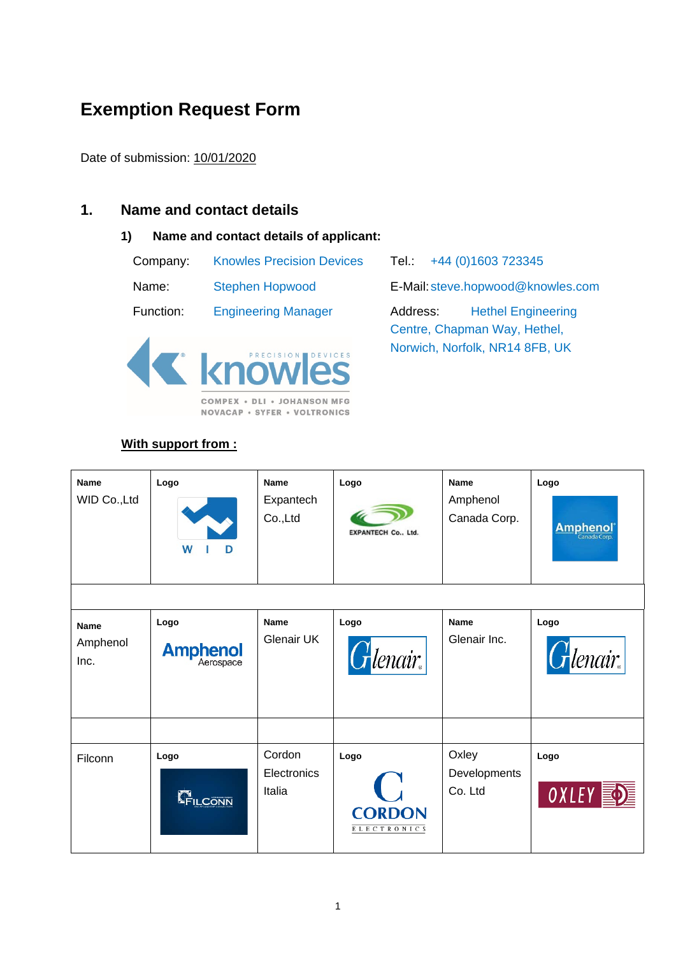# **Exemption Request Form**

Date of submission: 10/01/2020

## **1. Name and contact details**

#### **1) Name and contact details of applicant:**

| Company:  | <b>Knowles Precision Devices</b> |
|-----------|----------------------------------|
| Name:     | <b>Stephen Hopwood</b>           |
| Function: | <b>Engineering Manager</b>       |



**NOVACAP · SYFER · VOLTRONICS** 

# **With support from :**

Tel.: +44 (0)1603 723345 E-Mail: steve.hopwood@knowles.com Function: Engineering Manager Address: Hethel Engineering Centre, Chapman Way, Hethel, Norwich, Norfolk, NR14 8FB, UK

| <b>Name</b><br>WID Co., Ltd     | Logo<br>W<br>D          | Name<br>Expantech<br>Co.,Ltd    | Logo<br><b>EXPANTECH Co., Ltd.</b>          | <b>Name</b><br>Amphenol<br>Canada Corp. | Logo<br><b>Amphenol</b> ® |
|---------------------------------|-------------------------|---------------------------------|---------------------------------------------|-----------------------------------------|---------------------------|
| <b>Name</b><br>Amphenol<br>Inc. | Logo<br><b>Amphenol</b> | <b>Name</b><br>Glenair UK       | Logo<br>$G$ lenair.                         | <b>Name</b><br>Glenair Inc.             | Logo<br>$G$ lenair.       |
| Filconn                         | Logo<br>FILCONN         | Cordon<br>Electronics<br>Italia | Logo<br><b>CORDON</b><br><b>ELECTRONICS</b> | Oxley<br>Developments<br>Co. Ltd        | Logo<br>OXLEY             |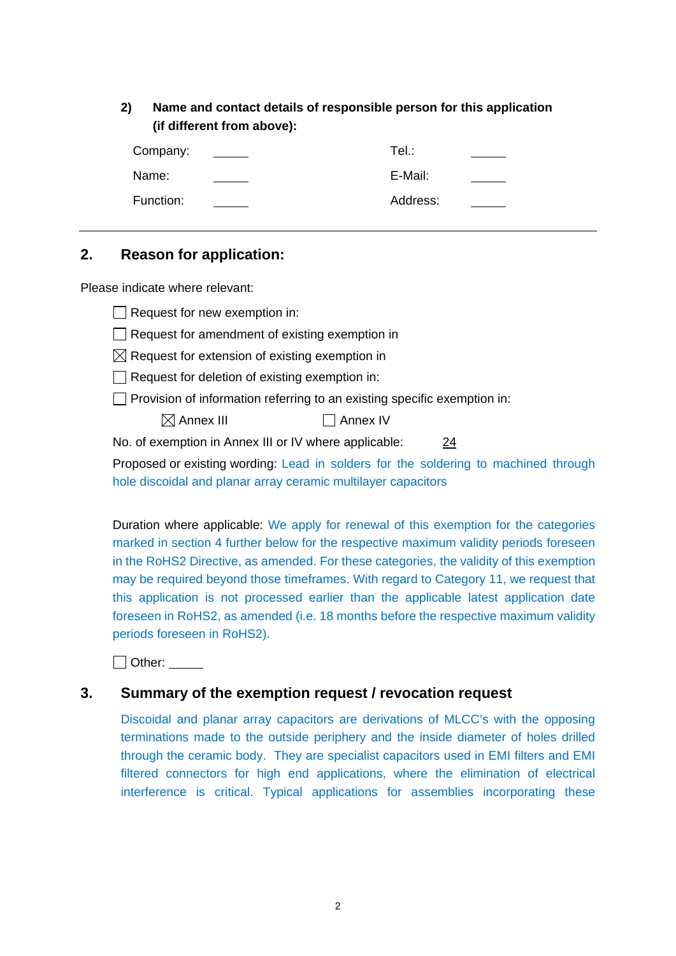**2) Name and contact details of responsible person for this application (if different from above):**

| Company:  | Tel.∶    |  |
|-----------|----------|--|
| Name:     | E-Mail:  |  |
| Function: | Address: |  |

## **2. Reason for application:**

Please indicate where relevant:

|                                                                                     | $\Box$ Request for new exemption in:                                            |  |  |  |
|-------------------------------------------------------------------------------------|---------------------------------------------------------------------------------|--|--|--|
|                                                                                     | $\vert \ \vert$ Request for amendment of existing exemption in                  |  |  |  |
|                                                                                     | $\boxtimes$ Request for extension of existing exemption in                      |  |  |  |
|                                                                                     | $\Box$ Request for deletion of existing exemption in:                           |  |  |  |
|                                                                                     | $\Box$ Provision of information referring to an existing specific exemption in: |  |  |  |
|                                                                                     | $\boxtimes$ Annex III<br>Annex IV                                               |  |  |  |
|                                                                                     | No. of exemption in Annex III or IV where applicable:<br><u>24</u>              |  |  |  |
| Proposed or existing wording: Lead in solders for the soldering to machined through |                                                                                 |  |  |  |
|                                                                                     | hole discoidal and planar array ceramic multilayer capacitors                   |  |  |  |

Duration where applicable: We apply for renewal of this exemption for the categories marked in section 4 further below for the respective maximum validity periods foreseen in the RoHS2 Directive, as amended. For these categories, the validity of this exemption may be required beyond those timeframes. With regard to Category 11, we request that this application is not processed earlier than the applicable latest application date foreseen in RoHS2, as amended (i.e. 18 months before the respective maximum validity periods foreseen in RoHS2).

□ Other:

## **3. Summary of the exemption request / revocation request**

Discoidal and planar array capacitors are derivations of MLCC's with the opposing terminations made to the outside periphery and the inside diameter of holes drilled through the ceramic body. They are specialist capacitors used in EMI filters and EMI filtered connectors for high end applications, where the elimination of electrical interference is critical. Typical applications for assemblies incorporating these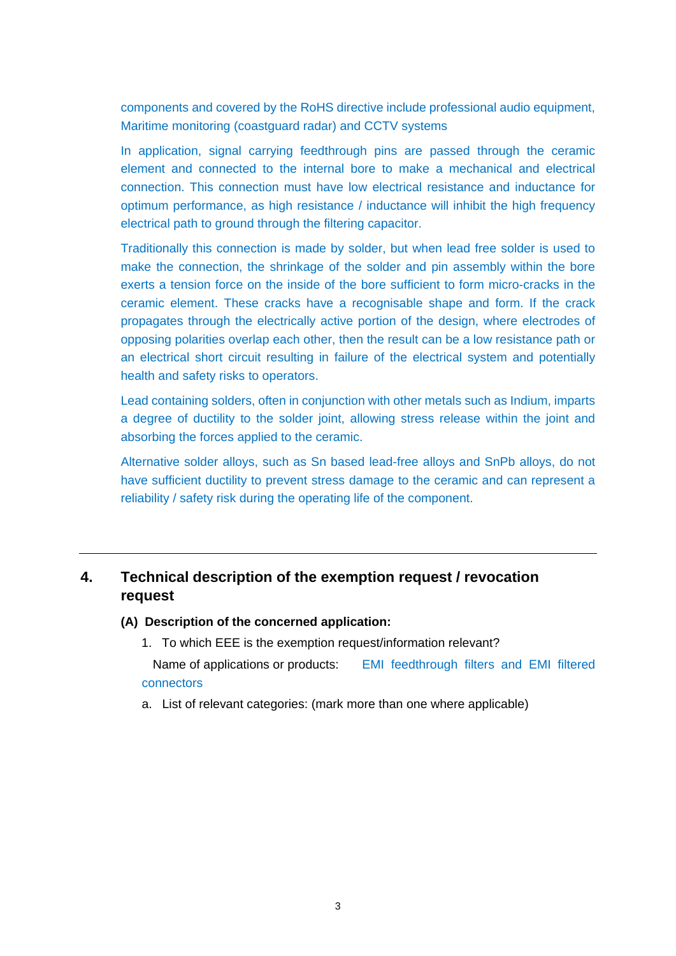components and covered by the RoHS directive include professional audio equipment, Maritime monitoring (coastguard radar) and CCTV systems

In application, signal carrying feedthrough pins are passed through the ceramic element and connected to the internal bore to make a mechanical and electrical connection. This connection must have low electrical resistance and inductance for optimum performance, as high resistance / inductance will inhibit the high frequency electrical path to ground through the filtering capacitor.

Traditionally this connection is made by solder, but when lead free solder is used to make the connection, the shrinkage of the solder and pin assembly within the bore exerts a tension force on the inside of the bore sufficient to form micro-cracks in the ceramic element. These cracks have a recognisable shape and form. If the crack propagates through the electrically active portion of the design, where electrodes of opposing polarities overlap each other, then the result can be a low resistance path or an electrical short circuit resulting in failure of the electrical system and potentially health and safety risks to operators.

Lead containing solders, often in conjunction with other metals such as Indium, imparts a degree of ductility to the solder joint, allowing stress release within the joint and absorbing the forces applied to the ceramic.

Alternative solder alloys, such as Sn based lead-free alloys and SnPb alloys, do not have sufficient ductility to prevent stress damage to the ceramic and can represent a reliability / safety risk during the operating life of the component.

## **4. Technical description of the exemption request / revocation request**

#### **(A) Description of the concerned application:**

1. To which EEE is the exemption request/information relevant?

Name of applications or products: EMI feedthrough filters and EMI filtered connectors

a. List of relevant categories: (mark more than one where applicable)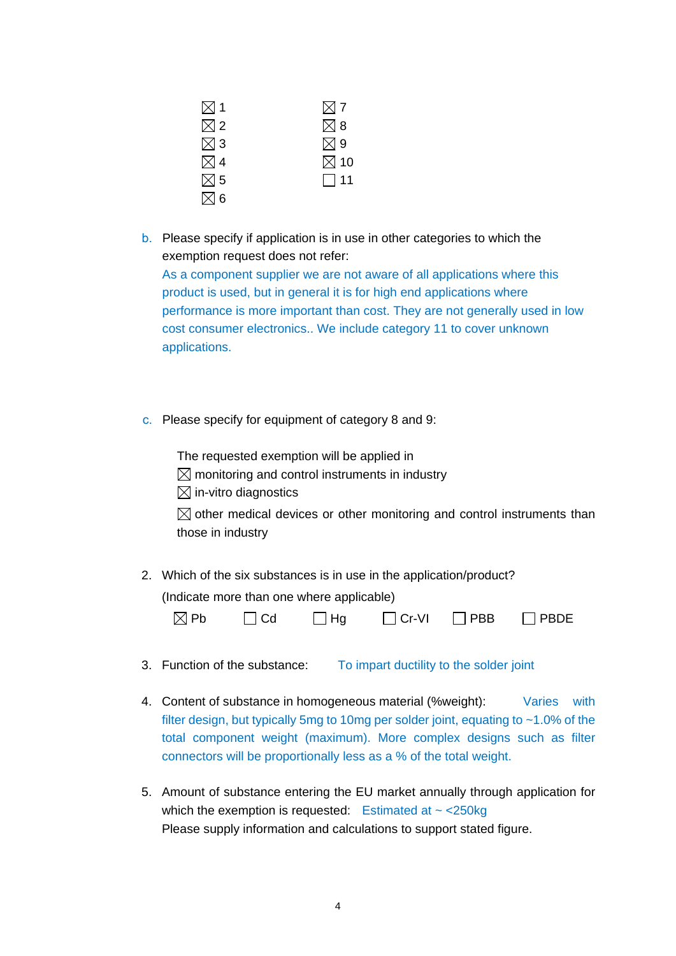| $\boxtimes$ 1 | $\boxtimes$ 7  |
|---------------|----------------|
| $\boxtimes$ 2 | $\boxtimes$ 8  |
| $\boxtimes$ 3 | $\boxtimes$ 9  |
| $\boxtimes$ 4 | $\boxtimes$ 10 |
| $\boxtimes$ 5 | $\Box$ 11      |
| $\boxtimes$ 6 |                |

- b. Please specify if application is in use in other categories to which the exemption request does not refer: As a component supplier we are not aware of all applications where this product is used, but in general it is for high end applications where performance is more important than cost. They are not generally used in low cost consumer electronics.. We include category 11 to cover unknown applications.
- c. Please specify for equipment of category 8 and 9:

The requested exemption will be applied in

- $\boxtimes$  monitoring and control instruments in industry
- $\boxtimes$  in-vitro diagnostics

 $\boxtimes$  other medical devices or other monitoring and control instruments than those in industry

2. Which of the six substances is in use in the application/product? (Indicate more than one where applicable)

| $\boxtimes$ Pb | $\Box$ Cd | $\Box$ Hg | $\Box$ Cr-VI $\Box$ PBB | $\Box$ PBDE |
|----------------|-----------|-----------|-------------------------|-------------|

- 3. Function of the substance: To impart ductility to the solder joint
- 4. Content of substance in homogeneous material (%weight): Varies with filter design, but typically 5mg to 10mg per solder joint, equating to ~1.0% of the total component weight (maximum). More complex designs such as filter connectors will be proportionally less as a % of the total weight.
- 5. Amount of substance entering the EU market annually through application for which the exemption is requested: Estimated at  $\sim$  <250kg Please supply information and calculations to support stated figure.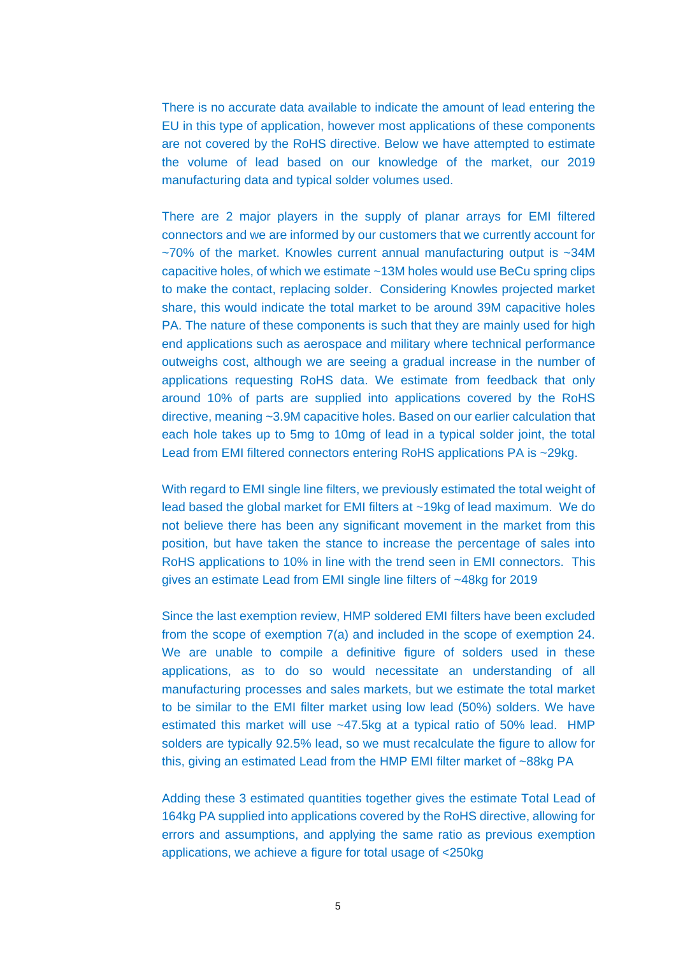There is no accurate data available to indicate the amount of lead entering the EU in this type of application, however most applications of these components are not covered by the RoHS directive. Below we have attempted to estimate the volume of lead based on our knowledge of the market, our 2019 manufacturing data and typical solder volumes used.

There are 2 major players in the supply of planar arrays for EMI filtered connectors and we are informed by our customers that we currently account for ~70% of the market. Knowles current annual manufacturing output is ~34M capacitive holes, of which we estimate ~13M holes would use BeCu spring clips to make the contact, replacing solder. Considering Knowles projected market share, this would indicate the total market to be around 39M capacitive holes PA. The nature of these components is such that they are mainly used for high end applications such as aerospace and military where technical performance outweighs cost, although we are seeing a gradual increase in the number of applications requesting RoHS data. We estimate from feedback that only around 10% of parts are supplied into applications covered by the RoHS directive, meaning ~3.9M capacitive holes. Based on our earlier calculation that each hole takes up to 5mg to 10mg of lead in a typical solder joint, the total Lead from EMI filtered connectors entering RoHS applications PA is ~29kg.

With regard to EMI single line filters, we previously estimated the total weight of lead based the global market for EMI filters at ~19kg of lead maximum. We do not believe there has been any significant movement in the market from this position, but have taken the stance to increase the percentage of sales into RoHS applications to 10% in line with the trend seen in EMI connectors. This gives an estimate Lead from EMI single line filters of ~48kg for 2019

Since the last exemption review, HMP soldered EMI filters have been excluded from the scope of exemption 7(a) and included in the scope of exemption 24. We are unable to compile a definitive figure of solders used in these applications, as to do so would necessitate an understanding of all manufacturing processes and sales markets, but we estimate the total market to be similar to the EMI filter market using low lead (50%) solders. We have estimated this market will use ~47.5kg at a typical ratio of 50% lead. HMP solders are typically 92.5% lead, so we must recalculate the figure to allow for this, giving an estimated Lead from the HMP EMI filter market of ~88kg PA

Adding these 3 estimated quantities together gives the estimate Total Lead of 164kg PA supplied into applications covered by the RoHS directive, allowing for errors and assumptions, and applying the same ratio as previous exemption applications, we achieve a figure for total usage of <250kg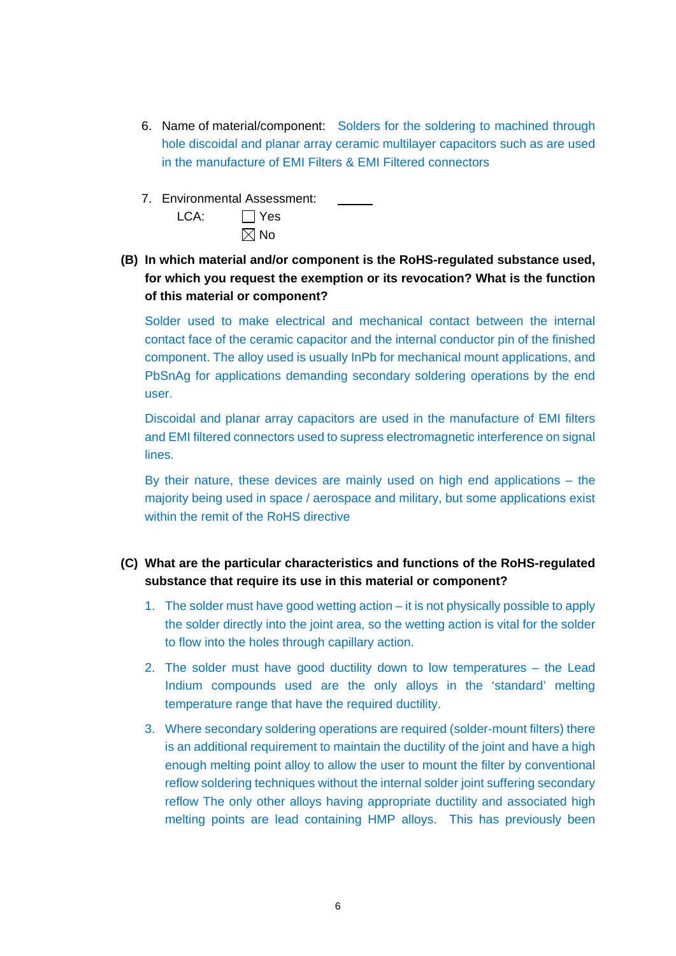- 6. Name of material/component: Solders for the soldering to machined through hole discoidal and planar array ceramic multilayer capacitors such as are used in the manufacture of EMI Filters & EMI Filtered connectors
- 7. Environmental Assessment:

| LCA: | $\Box$ Yes     |
|------|----------------|
|      | $\boxtimes$ No |

**(B) In which material and/or component is the RoHS-regulated substance used, for which you request the exemption or its revocation? What is the function of this material or component?**

Solder used to make electrical and mechanical contact between the internal contact face of the ceramic capacitor and the internal conductor pin of the finished component. The alloy used is usually InPb for mechanical mount applications, and PbSnAg for applications demanding secondary soldering operations by the end user.

Discoidal and planar array capacitors are used in the manufacture of EMI filters and EMI filtered connectors used to supress electromagnetic interference on signal lines.

By their nature, these devices are mainly used on high end applications – the majority being used in space / aerospace and military, but some applications exist within the remit of the RoHS directive

## **(C) What are the particular characteristics and functions of the RoHS-regulated substance that require its use in this material or component?**

- 1. The solder must have good wetting action it is not physically possible to apply the solder directly into the joint area, so the wetting action is vital for the solder to flow into the holes through capillary action.
- 2. The solder must have good ductility down to low temperatures the Lead Indium compounds used are the only alloys in the 'standard' melting temperature range that have the required ductility.
- 3. Where secondary soldering operations are required (solder-mount filters) there is an additional requirement to maintain the ductility of the joint and have a high enough melting point alloy to allow the user to mount the filter by conventional reflow soldering techniques without the internal solder joint suffering secondary reflow The only other alloys having appropriate ductility and associated high melting points are lead containing HMP alloys. This has previously been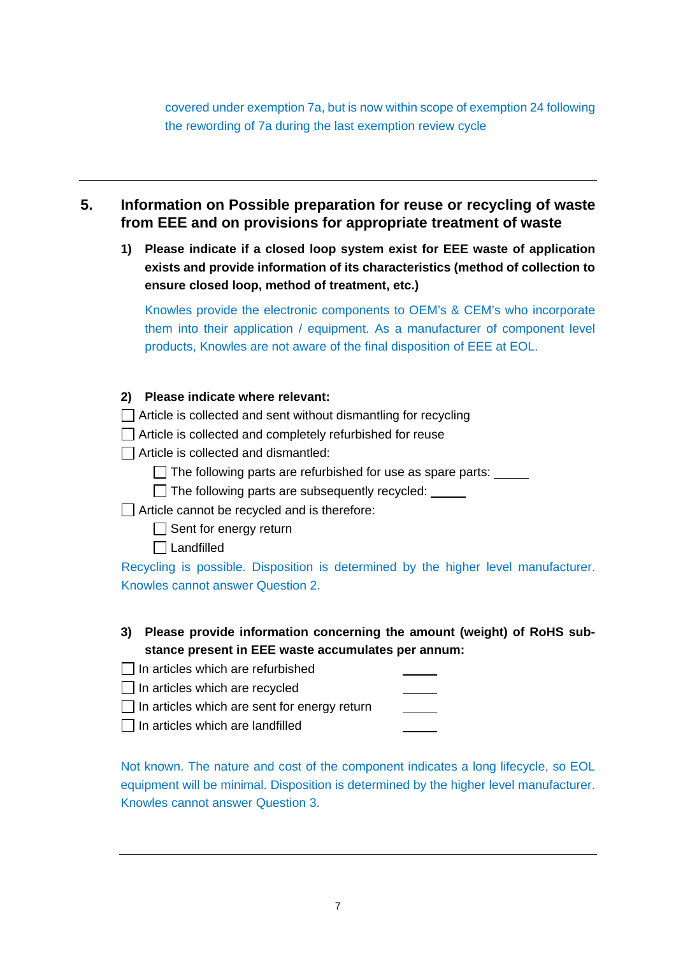covered under exemption 7a, but is now within scope of exemption 24 following the rewording of 7a during the last exemption review cycle

# **5. Information on Possible preparation for reuse or recycling of waste from EEE and on provisions for appropriate treatment of waste**

**1) Please indicate if a closed loop system exist for EEE waste of application exists and provide information of its characteristics (method of collection to ensure closed loop, method of treatment, etc.)**

Knowles provide the electronic components to OEM's & CEM's who incorporate them into their application / equipment. As a manufacturer of component level products, Knowles are not aware of the final disposition of EEE at EOL.

**2) Please indicate where relevant:**

 $\Box$  Article is collected and sent without dismantling for recycling

Article is collected and completely refurbished for reuse

 $\Box$  Article is collected and dismantled:

 $\Box$  The following parts are refurbished for use as spare parts:  $\Box$ 

 $\Box$  The following parts are subsequently recycled:  $\Box$ 

 $\Box$  Article cannot be recycled and is therefore:

 $\Box$  Sent for energy return

□ Landfilled

Recycling is possible. Disposition is determined by the higher level manufacturer. Knowles cannot answer Question 2.

**3) Please provide information concerning the amount (weight) of RoHS substance present in EEE waste accumulates per annum:**

| $\Box$ In articles which are refurbished            |  |
|-----------------------------------------------------|--|
| $\Box$ In articles which are recycled               |  |
| $\Box$ In articles which are sent for energy return |  |
| $\Box$ In articles which are landfilled             |  |

Not known. The nature and cost of the component indicates a long lifecycle, so EOL equipment will be minimal. Disposition is determined by the higher level manufacturer. Knowles cannot answer Question 3.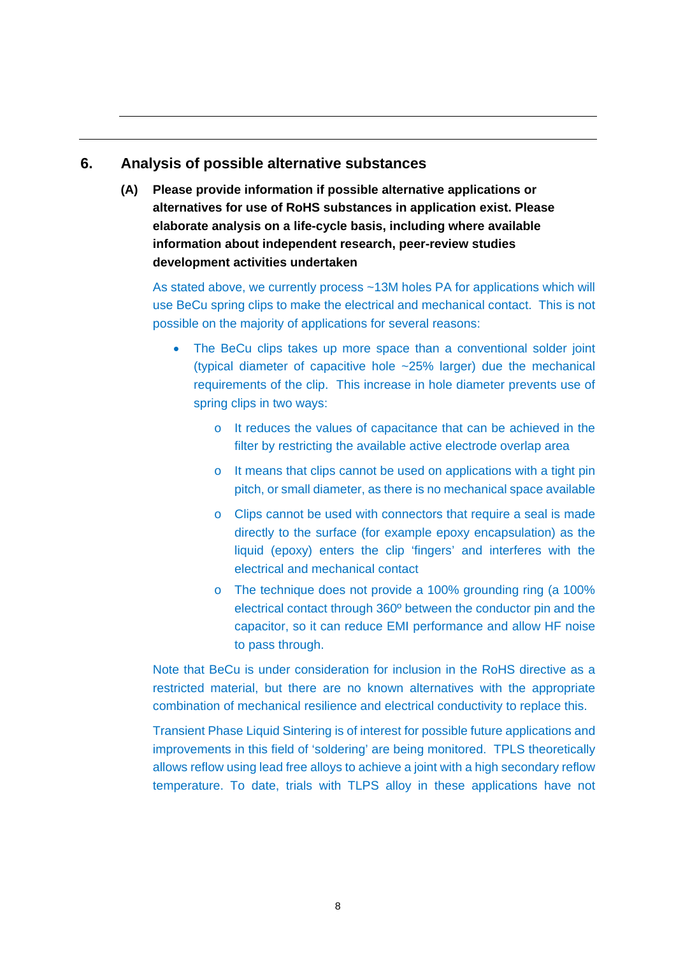## **6. Analysis of possible alternative substances**

**(A) Please provide information if possible alternative applications or alternatives for use of RoHS substances in application exist. Please elaborate analysis on a life-cycle basis, including where available information about independent research, peer-review studies development activities undertaken**

As stated above, we currently process ~13M holes PA for applications which will use BeCu spring clips to make the electrical and mechanical contact. This is not possible on the majority of applications for several reasons:

- The BeCu clips takes up more space than a conventional solder joint (typical diameter of capacitive hole ~25% larger) due the mechanical requirements of the clip. This increase in hole diameter prevents use of spring clips in two ways:
	- o It reduces the values of capacitance that can be achieved in the filter by restricting the available active electrode overlap area
	- o It means that clips cannot be used on applications with a tight pin pitch, or small diameter, as there is no mechanical space available
	- o Clips cannot be used with connectors that require a seal is made directly to the surface (for example epoxy encapsulation) as the liquid (epoxy) enters the clip 'fingers' and interferes with the electrical and mechanical contact
	- o The technique does not provide a 100% grounding ring (a 100% electrical contact through 360º between the conductor pin and the capacitor, so it can reduce EMI performance and allow HF noise to pass through.

Note that BeCu is under consideration for inclusion in the RoHS directive as a restricted material, but there are no known alternatives with the appropriate combination of mechanical resilience and electrical conductivity to replace this.

Transient Phase Liquid Sintering is of interest for possible future applications and improvements in this field of 'soldering' are being monitored. TPLS theoretically allows reflow using lead free alloys to achieve a joint with a high secondary reflow temperature. To date, trials with TLPS alloy in these applications have not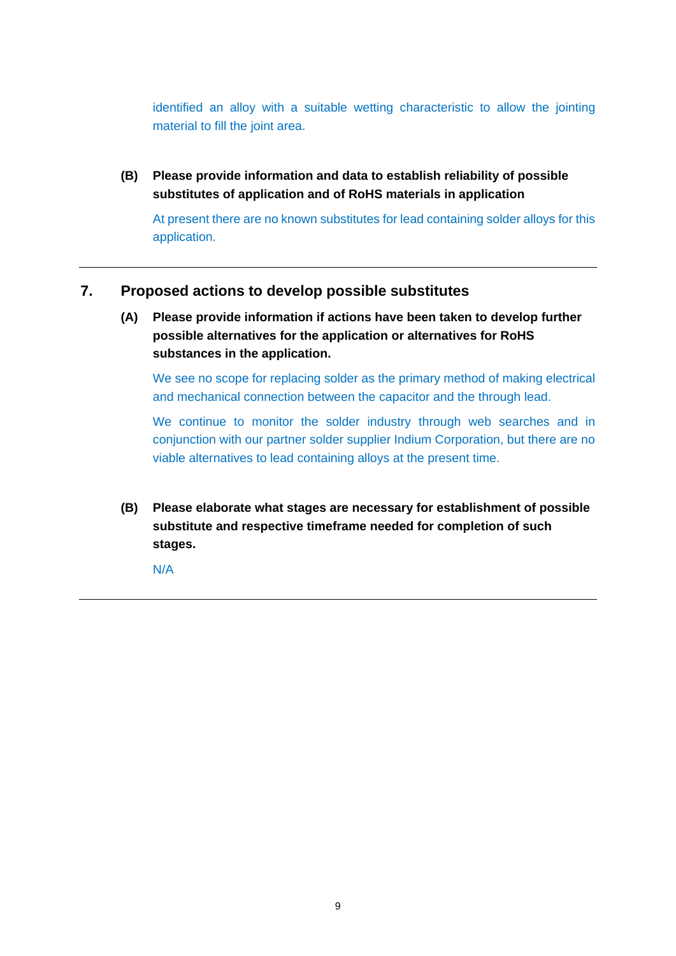identified an alloy with a suitable wetting characteristic to allow the jointing material to fill the joint area.

**(B) Please provide information and data to establish reliability of possible substitutes of application and of RoHS materials in application**

At present there are no known substitutes for lead containing solder alloys for this application.

#### **7. Proposed actions to develop possible substitutes**

**(A) Please provide information if actions have been taken to develop further possible alternatives for the application or alternatives for RoHS substances in the application.** 

We see no scope for replacing solder as the primary method of making electrical and mechanical connection between the capacitor and the through lead.

We continue to monitor the solder industry through web searches and in conjunction with our partner solder supplier Indium Corporation, but there are no viable alternatives to lead containing alloys at the present time.

**(B) Please elaborate what stages are necessary for establishment of possible substitute and respective timeframe needed for completion of such stages.**

N/A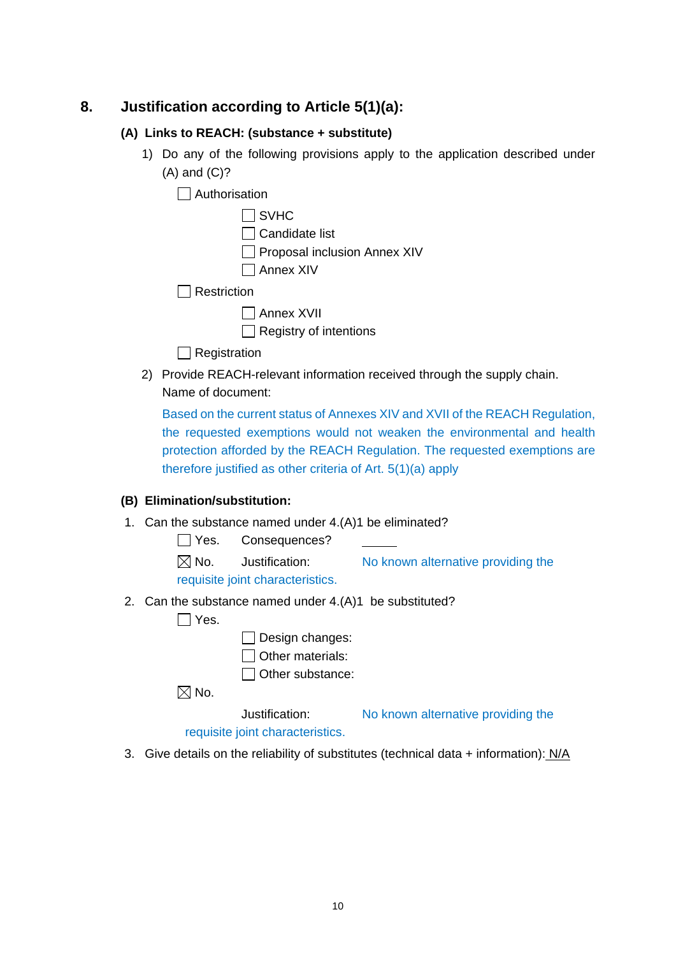## **8. Justification according to Article 5(1)(a):**

#### **(A) Links to REACH: (substance + substitute)**

1) Do any of the following provisions apply to the application described under (A) and (C)?

 $\Box$  Authorisation

|                    | $\Box$ SVHC                   |
|--------------------|-------------------------------|
|                    | $\Box$ Candidate list         |
|                    | Proposal inclusion Annex XIV  |
|                    | $\Box$ Annex XIV              |
| $\Box$ Restriction |                               |
|                    | $\Box$ Annex XVII             |
|                    | $\Box$ Registry of intentions |

 $\Box$  Registration

2) Provide REACH-relevant information received through the supply chain. Name of document:

Based on the current status of Annexes XIV and XVII of the REACH Regulation, the requested exemptions would not weaken the environmental and health protection afforded by the REACH Regulation. The requested exemptions are therefore justified as other criteria of Art. 5(1)(a) apply

#### **(B) Elimination/substitution:**

1. Can the substance named under 4.(A)1 be eliminated?

Yes. Consequences?

 $\boxtimes$  No. Justification: No known alternative providing the

requisite joint characteristics.

2. Can the substance named under 4.(A)1 be substituted?

 $\Box$  Yes.

 $\Box$  Design changes:

 $\Box$  Other materials:

 $\Box$  Other substance:

 $\boxtimes$  No.

Justification: No known alternative providing the

requisite joint characteristics.

3. Give details on the reliability of substitutes (technical data + information): N/A